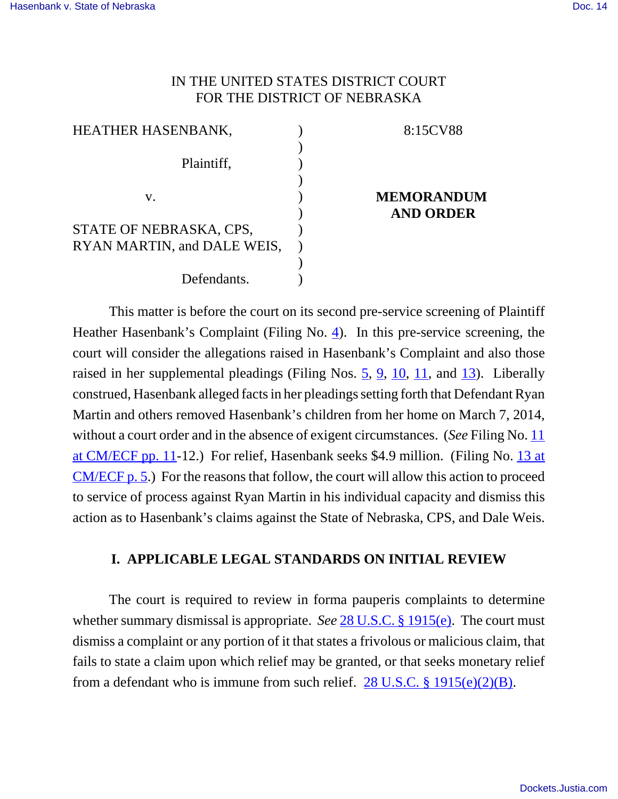# IN THE UNITED STATES DISTRICT COURT FOR THE DISTRICT OF NEBRASKA

| <b>HEATHER HASENBANK,</b>   |  |
|-----------------------------|--|
|                             |  |
| Plaintiff,                  |  |
|                             |  |
| V.                          |  |
|                             |  |
| STATE OF NEBRASKA, CPS,     |  |
| RYAN MARTIN, and DALE WEIS, |  |
|                             |  |
| Defendants.                 |  |

## 8:15CV88

## **MEMORANDUM AND ORDER**

This matter is before the court on its second pre-service screening of Plaintiff Heather Hasenbank's Complaint (Filing No. 4). In this pre-service screening, the court will consider the allegations raised in Hasenbank's Complaint and also those raised in her supplemental pleadings (Filing Nos.  $\frac{5}{9}$ ,  $\frac{9}{10}$ ,  $\frac{11}{11}$ , and  $\frac{13}{13}$ ). Liberally construed, Hasenbank alleged facts in her pleadings setting forth that Defendant Ryan Martin and others removed Hasenbank's children from her home on March 7, 2014, without a court order and in the absence of exigent circumstances. (*See* Filing No. 11 at CM/ECF pp. 11-12.) For relief, Hasenbank seeks \$4.9 million. (Filing No. 13 at CM/ECF p. 5.) For the reasons that follow, the court will allow this action to proceed to service of process against Ryan Martin in his individual capacity and dismiss this action as to Hasenbank's claims against the State of Nebraska, CPS, and Dale Weis.

# **I. APPLICABLE LEGAL STANDARDS ON INITIAL REVIEW**

The court is required to review in forma pauperis complaints to determine whether summary dismissal is appropriate. *See* 28 U.S.C. § 1915(e). The court must dismiss a complaint or any portion of it that states a frivolous or malicious claim, that fails to state a claim upon which relief may be granted, or that seeks monetary relief from a defendant who is immune from such relief.  $28$  U.S.C. § 1915(e)(2)(B).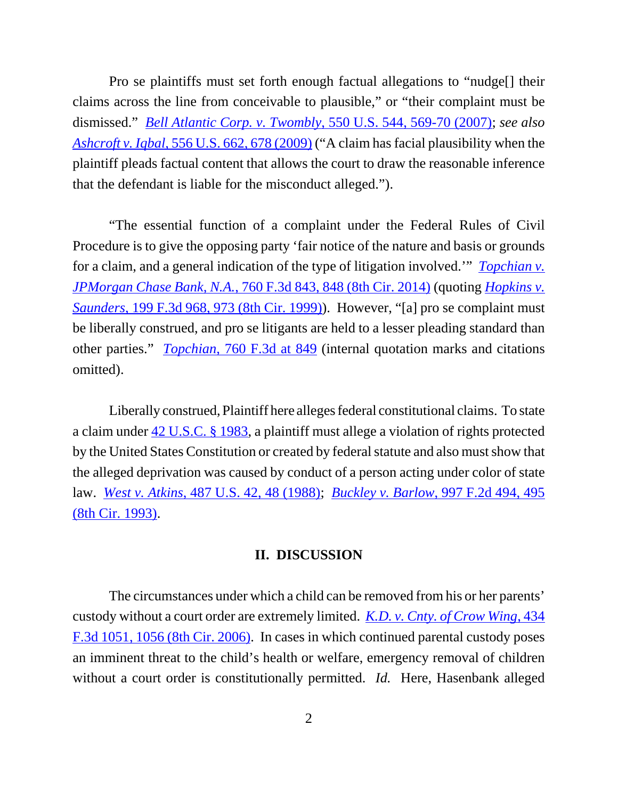Pro se plaintiffs must set forth enough factual allegations to "nudge[] their claims across the line from conceivable to plausible," or "their complaint must be dismissed." *Bell Atlantic Corp. v. Twombly*, 550 U.S. 544, 569-70 (2007); *see also Ashcroft v. Iqbal*, 556 U.S. 662, 678 (2009) ("A claim has facial plausibility when the plaintiff pleads factual content that allows the court to draw the reasonable inference that the defendant is liable for the misconduct alleged.").

"The essential function of a complaint under the Federal Rules of Civil Procedure is to give the opposing party 'fair notice of the nature and basis or grounds for a claim, and a general indication of the type of litigation involved.'" *Topchian v. JPMorgan Chase Bank, N.A.*, 760 F.3d 843, 848 (8th Cir. 2014) (quoting *Hopkins v. Saunders*, 199 F.3d 968, 973 (8th Cir. 1999)). However, "[a] pro se complaint must be liberally construed, and pro se litigants are held to a lesser pleading standard than other parties." *Topchian*, 760 F.3d at 849 (internal quotation marks and citations omitted).

Liberally construed, Plaintiff here alleges federal constitutional claims. To state a claim under 42 U.S.C. § 1983, a plaintiff must allege a violation of rights protected by the United States Constitution or created by federal statute and also must show that the alleged deprivation was caused by conduct of a person acting under color of state law. *West v. Atkins*, 487 U.S. 42, 48 (1988); *Buckley v. Barlow*, 997 F.2d 494, 495 (8th Cir. 1993).

#### **II. DISCUSSION**

The circumstances under which a child can be removed from his or her parents' custody without a court order are extremely limited. *K.D. v. Cnty. of Crow Wing*, 434 F.3d 1051, 1056 (8th Cir. 2006). In cases in which continued parental custody poses an imminent threat to the child's health or welfare, emergency removal of children without a court order is constitutionally permitted. *Id.* Here, Hasenbank alleged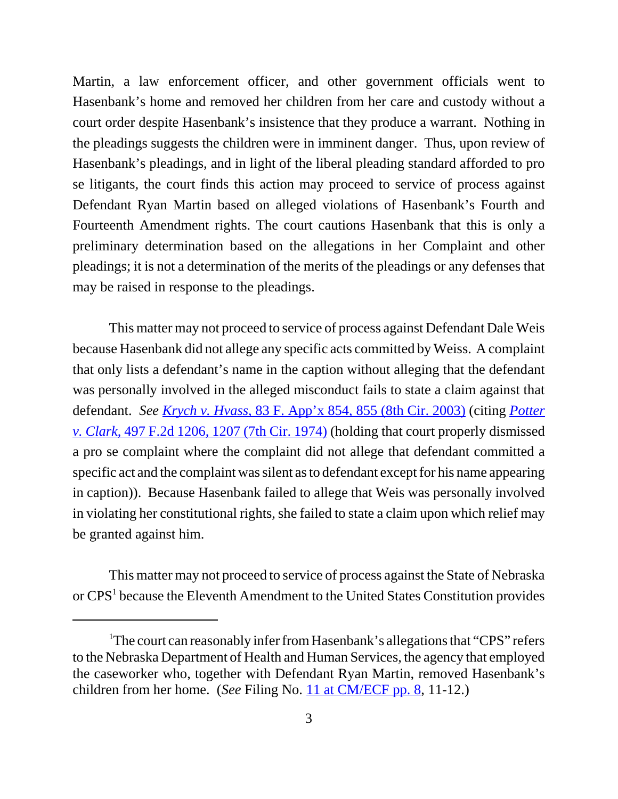Martin, a law enforcement officer, and other government officials went to Hasenbank's home and removed her children from her care and custody without a court order despite Hasenbank's insistence that they produce a warrant. Nothing in the pleadings suggests the children were in imminent danger. Thus, upon review of Hasenbank's pleadings, and in light of the liberal pleading standard afforded to pro se litigants, the court finds this action may proceed to service of process against Defendant Ryan Martin based on alleged violations of Hasenbank's Fourth and Fourteenth Amendment rights. The court cautions Hasenbank that this is only a preliminary determination based on the allegations in her Complaint and other pleadings; it is not a determination of the merits of the pleadings or any defenses that may be raised in response to the pleadings.

This matter may not proceed to service of process against Defendant Dale Weis because Hasenbank did not allege any specific acts committed by Weiss. A complaint that only lists a defendant's name in the caption without alleging that the defendant was personally involved in the alleged misconduct fails to state a claim against that defendant. *See Krych v. Hvass*, 83 F. App'x 854, 855 (8th Cir. 2003) (citing *Potter v. Clark*, 497 F.2d 1206, 1207 (7th Cir. 1974) (holding that court properly dismissed a pro se complaint where the complaint did not allege that defendant committed a specific act and the complaint was silent as to defendant except for his name appearing in caption)). Because Hasenbank failed to allege that Weis was personally involved in violating her constitutional rights, she failed to state a claim upon which relief may be granted against him.

This matter may not proceed to service of process against the State of Nebraska or CPS<sup>1</sup> because the Eleventh Amendment to the United States Constitution provides

<sup>&</sup>lt;sup>1</sup>The court can reasonably infer from Hasenbank's allegations that "CPS" refers to the Nebraska Department of Health and Human Services, the agency that employed the caseworker who, together with Defendant Ryan Martin, removed Hasenbank's children from her home. (*See* Filing No. 11 at CM/ECF pp. 8, 11-12.)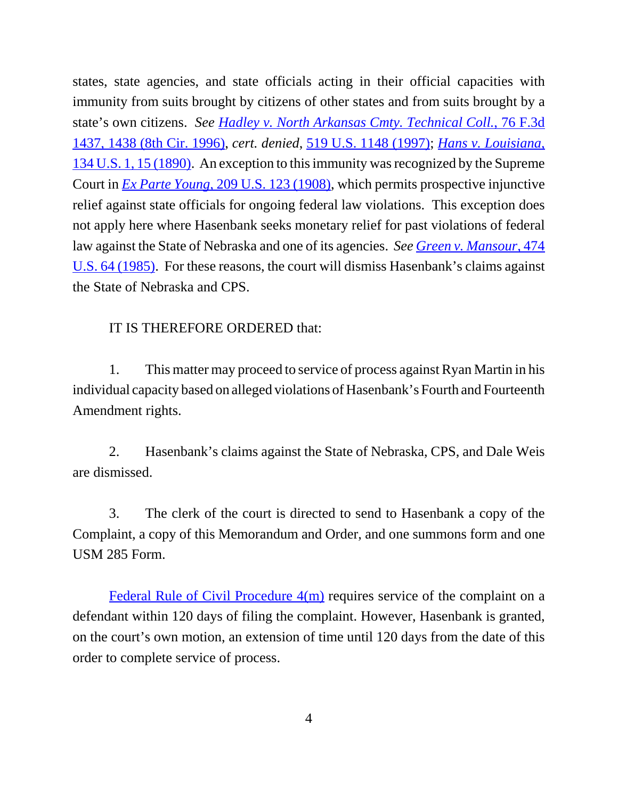states, state agencies, and state officials acting in their official capacities with immunity from suits brought by citizens of other states and from suits brought by a state's own citizens. *See Hadley v. North Arkansas Cmty. Technical Coll.*, 76 F.3d 1437, 1438 (8th Cir. 1996), *cert. denied*, 519 U.S. 1148 (1997); *Hans v. Louisiana*, 134 U.S. 1, 15 (1890). An exception to this immunity was recognized by the Supreme Court in *Ex Parte Young*, 209 U.S. 123 (1908), which permits prospective injunctive relief against state officials for ongoing federal law violations. This exception does not apply here where Hasenbank seeks monetary relief for past violations of federal law against the State of Nebraska and one of its agencies. *See Green v. Mansour*, 474 U.S. 64 (1985). For these reasons, the court will dismiss Hasenbank's claims against the State of Nebraska and CPS.

# IT IS THEREFORE ORDERED that:

1. This matter may proceed to service of process against Ryan Martin in his individual capacity based on alleged violations of Hasenbank's Fourth and Fourteenth Amendment rights.

2. Hasenbank's claims against the State of Nebraska, CPS, and Dale Weis are dismissed.

3. The clerk of the court is directed to send to Hasenbank a copy of the Complaint, a copy of this Memorandum and Order, and one summons form and one USM 285 Form.

Federal Rule of Civil Procedure 4(m) requires service of the complaint on a defendant within 120 days of filing the complaint. However, Hasenbank is granted, on the court's own motion, an extension of time until 120 days from the date of this order to complete service of process.

4